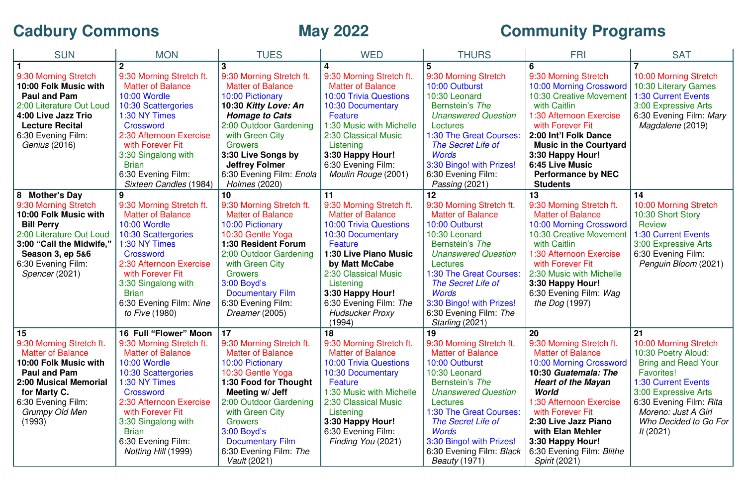## **Cadbury Commons**

## **May 2022 Community Programs**

| <b>SUN</b>                                        | <b>MON</b>                                           | <b>TUES</b>                                         | <b>WED</b>                                           | <b>THURS</b>                                         | <b>FRI</b>                                           | <b>SAT</b>                                        |
|---------------------------------------------------|------------------------------------------------------|-----------------------------------------------------|------------------------------------------------------|------------------------------------------------------|------------------------------------------------------|---------------------------------------------------|
|                                                   |                                                      |                                                     |                                                      |                                                      |                                                      |                                                   |
| 9:30 Morning Stretch                              | 9:30 Morning Stretch ft.                             | 9:30 Morning Stretch ft.                            | 9:30 Morning Stretch ft.                             | 9:30 Morning Stretch                                 | 9:30 Morning Stretch                                 | 10:00 Morning Stretch                             |
| 10:00 Folk Music with                             | <b>Matter of Balance</b>                             | <b>Matter of Balance</b>                            | <b>Matter of Balance</b>                             | 10:00 Outburst                                       | 10:00 Morning Crossword                              | 10:30 Literary Games                              |
| Paul and Pam                                      | <b>10:00 Wordle</b>                                  | 10:00 Pictionary                                    | <b>10:00 Trivia Questions</b>                        | 10:30 Leonard                                        | 10:30 Creative Movement                              | 1:30 Current Events                               |
| 2:00 Literature Out Loud                          | 10:30 Scattergories                                  | 10:30 Kitty Love: An                                | 10:30 Documentary                                    | Bernstein's The                                      | with Caitlin                                         | 3:00 Expressive Arts                              |
| 4:00 Live Jazz Trio                               | 1:30 NY Times                                        | <b>Homage to Cats</b>                               | Feature                                              | <b>Unanswered Question</b>                           | 1:30 Afternoon Exercise                              | 6:30 Evening Film: Mary                           |
| <b>Lecture Recital</b>                            | Crossword                                            | 2:00 Outdoor Gardening                              | 1:30 Music with Michelle                             | Lectures                                             | with Forever Fit                                     | Magdalene (2019)                                  |
| 6:30 Evening Film:                                | 2:30 Afternoon Exercise                              | with Green City                                     | 2:30 Classical Music                                 | 1:30 The Great Courses:                              | 2:00 Int'l Folk Dance                                |                                                   |
| <i>Genius</i> (2016)                              | with Forever Fit                                     | <b>Growers</b>                                      | Listening                                            | The Secret Life of                                   | <b>Music in the Courtyard</b>                        |                                                   |
|                                                   | 3:30 Singalong with                                  | 3:30 Live Songs by                                  | 3:30 Happy Hour!                                     | <b>Words</b>                                         | 3:30 Happy Hour!                                     |                                                   |
|                                                   | <b>Brian</b>                                         | <b>Jeffrey Folmer</b>                               | 6:30 Evening Film:                                   | 3:30 Bingo! with Prizes!                             | 6:45 Live Music                                      |                                                   |
|                                                   | 6:30 Evening Film:                                   | 6:30 Evening Film: Enola                            | Moulin Rouge (2001)                                  | 6:30 Evening Film:                                   | <b>Performance by NEC</b>                            |                                                   |
|                                                   | Sixteen Candles (1984)                               | Holmes (2020)                                       |                                                      | Passing (2021)                                       | <b>Students</b>                                      |                                                   |
| <b>Mother's Day</b><br>8                          | 9                                                    | 10                                                  | 11                                                   | 12                                                   | 13                                                   | 14                                                |
| 9:30 Morning Stretch                              | 9:30 Morning Stretch ft.                             | 9:30 Morning Stretch ft.                            | 9:30 Morning Stretch ft.                             | 9:30 Morning Stretch ft.                             | 9:30 Morning Stretch ft.                             | 10:00 Morning Stretch                             |
| 10:00 Folk Music with                             | <b>Matter of Balance</b>                             | <b>Matter of Balance</b>                            | <b>Matter of Balance</b>                             | <b>Matter of Balance</b>                             | <b>Matter of Balance</b>                             | 10:30 Short Story                                 |
| <b>Bill Perry</b>                                 | <b>10:00 Wordle</b>                                  | 10:00 Pictionary                                    | <b>10:00 Trivia Questions</b>                        | 10:00 Outburst                                       | 10:00 Morning Crossword                              | <b>Review</b>                                     |
| 2:00 Literature Out Loud                          | 10:30 Scattergories                                  | 10:30 Gentle Yoga                                   | 10:30 Documentary                                    | 10:30 Leonard                                        | <b>10:30 Creative Movement</b>                       | 1:30 Current Events                               |
| 3:00 "Call the Midwife,"                          | 1:30 NY Times                                        | <b>1:30 Resident Forum</b>                          | Feature                                              | Bernstein's The                                      | with Caitlin                                         | 3:00 Expressive Arts                              |
| Season 3, ep 5&6                                  | Crossword                                            | 2:00 Outdoor Gardening                              | 1:30 Live Piano Music                                | <b>Unanswered Question</b>                           | 1:30 Afternoon Exercise                              | 6:30 Evening Film:                                |
| 6:30 Evening Film:                                | 2:30 Afternoon Exercise                              | with Green City                                     | by Matt McCabe                                       | Lectures                                             | with Forever Fit                                     | Penguin Bloom (2021)                              |
| Spencer (2021)                                    | with Forever Fit                                     | <b>Growers</b>                                      | 2:30 Classical Music                                 | 1:30 The Great Courses:                              | 2:30 Music with Michelle                             |                                                   |
|                                                   | 3:30 Singalong with                                  | $3:00$ Boyd's                                       | Listening                                            | The Secret Life of                                   | 3:30 Happy Hour!                                     |                                                   |
|                                                   | <b>Brian</b>                                         | <b>Documentary Film</b>                             | 3:30 Happy Hour!                                     | <b>Words</b>                                         | 6:30 Evening Film: Wag                               |                                                   |
|                                                   | 6:30 Evening Film: Nine                              | 6:30 Evening Film:                                  | 6:30 Evening Film: The                               | 3:30 Bingo! with Prizes!                             | <i>the Dog</i> (1997)                                |                                                   |
|                                                   | to Five (1980)                                       | Dreamer (2005)                                      | <b>Hudsucker Proxy</b>                               | 6:30 Evening Film: The                               |                                                      |                                                   |
|                                                   |                                                      |                                                     | (1994)                                               | Starling (2021)                                      |                                                      |                                                   |
| 15                                                | 16 Full "Flower" Moon                                | 17                                                  | 18                                                   | 19                                                   | 20                                                   | 21                                                |
| 9:30 Morning Stretch ft.                          | 9:30 Morning Stretch ft.<br><b>Matter of Balance</b> | 9:30 Morning Stretch ft.                            | 9:30 Morning Stretch ft.<br><b>Matter of Balance</b> | 9:30 Morning Stretch ft.<br><b>Matter of Balance</b> | 9:30 Morning Stretch ft.<br><b>Matter of Balance</b> | 10:00 Morning Stretch                             |
| <b>Matter of Balance</b><br>10:00 Folk Music with | <b>10:00 Wordle</b>                                  | <b>Matter of Balance</b><br><b>10:00 Pictionary</b> | <b>10:00 Trivia Questions</b>                        | 10:00 Outburst                                       | 10:00 Morning Crossword                              | 10:30 Poetry Aloud:<br><b>Bring and Read Your</b> |
| <b>Paul and Pam</b>                               | 10:30 Scattergories                                  | 10:30 Gentle Yoga                                   | 10:30 Documentary                                    | 10:30 Leonard                                        | 10:30 Guatemala: The                                 | <b>Favorites!</b>                                 |
| <b>2:00 Musical Memorial</b>                      | 1:30 NY Times                                        | 1:30 Food for Thought                               | Feature                                              | Bernstein's The                                      | <b>Heart of the Mayan</b>                            | <b>1:30 Current Events</b>                        |
| for Marty C.                                      | Crossword                                            | Meeting w/ Jeff                                     | 1:30 Music with Michelle                             | <b>Unanswered Question</b>                           | World                                                | 3:00 Expressive Arts                              |
| 6:30 Evening Film:                                | 2:30 Afternoon Exercise                              | 2:00 Outdoor Gardening                              | 2:30 Classical Music                                 | Lectures                                             | 1:30 Afternoon Exercise                              | 6:30 Evening Film: Rita                           |
| <b>Grumpy Old Men</b>                             | with Forever Fit                                     | with Green City                                     | Listening                                            | 1:30 The Great Courses:                              | with Forever Fit                                     | Moreno: Just A Girl                               |
| (1993)                                            | 3:30 Singalong with                                  | <b>Growers</b>                                      | 3:30 Happy Hour!                                     | The Secret Life of                                   | 2:30 Live Jazz Piano                                 | Who Decided to Go For                             |
|                                                   | <b>Brian</b>                                         | $3:00$ Boyd's                                       | 6:30 Evening Film:                                   | <b>Words</b>                                         | with Elan Mehler                                     | <i>It</i> (2021)                                  |
|                                                   | 6:30 Evening Film:                                   | <b>Documentary Film</b>                             | Finding You (2021)                                   | 3:30 Bingo! with Prizes!                             | 3:30 Happy Hour!                                     |                                                   |
|                                                   | <i>Notting Hill</i> (1999)                           | 6:30 Evening Film: The                              |                                                      | 6:30 Evening Film: Black                             | 6:30 Evening Film: Blithe                            |                                                   |
|                                                   |                                                      | Vault (2021)                                        |                                                      | <i>Beauty</i> (1971)                                 | <i>Spirit</i> (2021)                                 |                                                   |